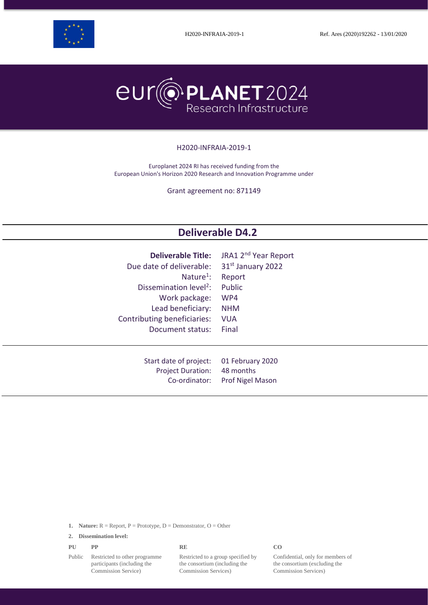



#### H2020-INFRAIA-2019-1

Europlanet 2024 RI has received funding from the European Union's Horizon 2020 Research and Innovation Programme under

Grant agreement no: 871149

# **Deliverable D4.2**

| <b>Deliverable Title:</b>          | JRA1 2 <sup>nd</sup> Year Report |
|------------------------------------|----------------------------------|
| Due date of deliverable:           | 31 <sup>st</sup> January 2022    |
| Nature <sup>1</sup> :              | Report                           |
| Dissemination level <sup>2</sup> : | <b>Public</b>                    |
| Work package:                      | WP4                              |
| Lead beneficiary:                  | <b>NHM</b>                       |
| Contributing beneficiaries:        | <b>VUA</b>                       |
| Document status:                   | Final                            |
| Start date of project:             | 01 February 2020                 |
| <b>Project Duration:</b>           | 48 months                        |
| Co-ordinator:                      | <b>Prof Nigel Mason</b>          |

|  |  |  |  | <b>1.</b> Nature: $R =$ Report, $P =$ Prototype, $D =$ Demonstrator, $O =$ Other |  |
|--|--|--|--|----------------------------------------------------------------------------------|--|
|--|--|--|--|----------------------------------------------------------------------------------|--|

**2. Dissemination level:**

| PU | PP | <b>RE</b> | CO. |  |
|----|----|-----------|-----|--|
|    |    |           |     |  |

Public Restricted to other programme participants (including the Commission Service)

Restricted to a group specified by the consortium (including the Commission Services)

Confidential, only for members of the consortium (excluding the Commission Services)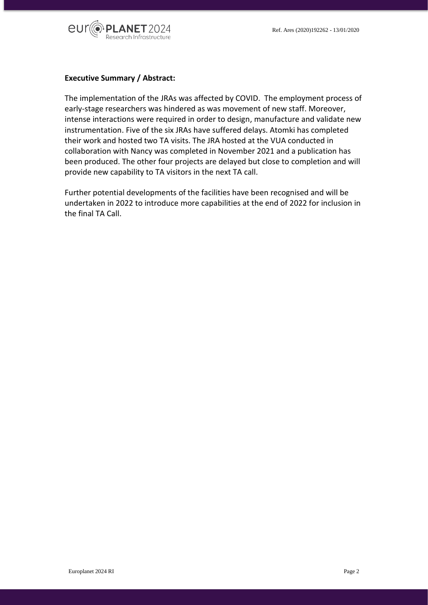

## **Executive Summary / Abstract:**

The implementation of the JRAs was affected by COVID. The employment process of early-stage researchers was hindered as was movement of new staff. Moreover, intense interactions were required in order to design, manufacture and validate new instrumentation. Five of the six JRAs have suffered delays. Atomki has completed their work and hosted two TA visits. The JRA hosted at the VUA conducted in collaboration with Nancy was completed in November 2021 and a publication has been produced. The other four projects are delayed but close to completion and will provide new capability to TA visitors in the next TA call.

Further potential developments of the facilities have been recognised and will be undertaken in 2022 to introduce more capabilities at the end of 2022 for inclusion in the final TA Call.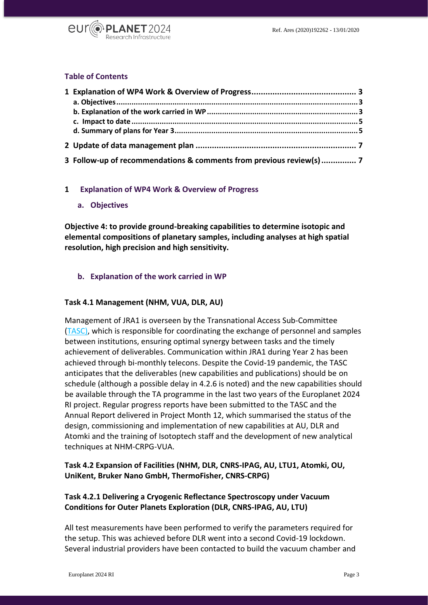

## **Table of Contents**

| 3 Follow-up of recommendations & comments from previous review(s)  7 |  |
|----------------------------------------------------------------------|--|

## <span id="page-2-1"></span><span id="page-2-0"></span>**1 Explanation of WP4 Work & Overview of Progress**

**a. Objectives**

**Objective 4: to provide ground-breaking capabilities to determine isotopic and elemental compositions of planetary samples, including analyses at high spatial resolution, high precision and high sensitivity.**

## <span id="page-2-2"></span>**b. Explanation of the work carried in WP**

#### **Task 4.1 Management (NHM, VUA, DLR, AU)**

Management of JRA1 is overseen by the Transnational Access Sub-Committee [\(TASC\),](https://www.europlanet-society.org/europlanet-2024-ri/europlanet-2024-ri-committees/#TASC) which is responsible for coordinating the exchange of personnel and samples between institutions, ensuring optimal synergy between tasks and the timely achievement of deliverables. Communication within JRA1 during Year 2 has been achieved through bi-monthly telecons. Despite the Covid-19 pandemic, the TASC anticipates that the deliverables (new capabilities and publications) should be on schedule (although a possible delay in 4.2.6 is noted) and the new capabilities should be available through the TA programme in the last two years of the Europlanet 2024 RI project. Regular progress reports have been submitted to the TASC and the Annual Report delivered in Project Month 12, which summarised the status of the design, commissioning and implementation of new capabilities at AU, DLR and Atomki and the training of Isotoptech staff and the development of new analytical techniques at NHM-CRPG-VUA.

# **Task 4.2 Expansion of Facilities (NHM, DLR, CNRS-IPAG, AU, LTU1, Atomki, OU, UniKent, Bruker Nano GmbH, ThermoFisher, CNRS-CRPG)**

# **Task 4.2.1 Delivering a Cryogenic Reflectance Spectroscopy under Vacuum Conditions for Outer Planets Exploration (DLR, CNRS-IPAG, AU, LTU)**

All test measurements have been performed to verify the parameters required for the setup. This was achieved before DLR went into a second Covid-19 lockdown. Several industrial providers have been contacted to build the vacuum chamber and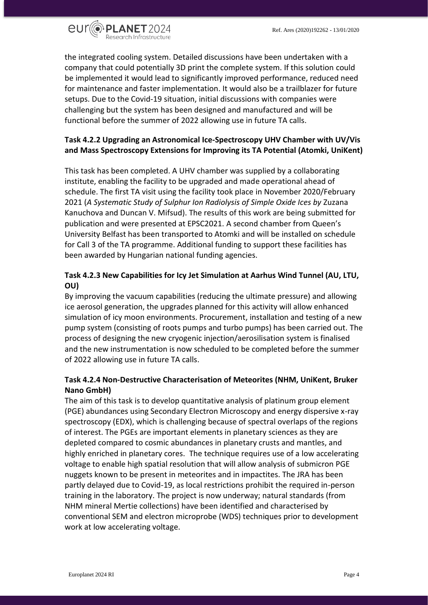

the integrated cooling system. Detailed discussions have been undertaken with a company that could potentially 3D print the complete system. If this solution could be implemented it would lead to significantly improved performance, reduced need for maintenance and faster implementation. It would also be a trailblazer for future setups. Due to the Covid-19 situation, initial discussions with companies were challenging but the system has been designed and manufactured and will be functional before the summer of 2022 allowing use in future TA calls.

# **Task 4.2.2 Upgrading an Astronomical Ice-Spectroscopy UHV Chamber with UV/Vis and Mass Spectroscopy Extensions for Improving its TA Potential (Atomki, UniKent)**

This task has been completed. A UHV chamber was supplied by a collaborating institute, enabling the facility to be upgraded and made operational ahead of schedule. The first TA visit using the facility took place in November 2020/February 2021 (*A Systematic Study of Sulphur Ion Radiolysis of Simple Oxide Ices by* Zuzana Kanuchova and Duncan V. Mifsud). The results of this work are being submitted for publication and were presented at EPSC2021. A second chamber from Queen's University Belfast has been transported to Atomki and will be installed on schedule for Call 3 of the TA programme. Additional funding to support these facilities has been awarded by Hungarian national funding agencies.

# **Task 4.2.3 New Capabilities for Icy Jet Simulation at Aarhus Wind Tunnel (AU, LTU, OU)**

By improving the vacuum capabilities (reducing the ultimate pressure) and allowing ice aerosol generation, the upgrades planned for this activity will allow enhanced simulation of icy moon environments. Procurement, installation and testing of a new pump system (consisting of roots pumps and turbo pumps) has been carried out. The process of designing the new cryogenic injection/aerosilisation system is finalised and the new instrumentation is now scheduled to be completed before the summer of 2022 allowing use in future TA calls.

# **Task 4.2.4 Non-Destructive Characterisation of Meteorites (NHM, UniKent, Bruker Nano GmbH)**

The aim of this task is to develop quantitative analysis of platinum group element (PGE) abundances using Secondary Electron Microscopy and energy dispersive x-ray spectroscopy (EDX), which is challenging because of spectral overlaps of the regions of interest. The PGEs are important elements in planetary sciences as they are depleted compared to cosmic abundances in planetary crusts and mantles, and highly enriched in planetary cores. The technique requires use of a low accelerating voltage to enable high spatial resolution that will allow analysis of submicron PGE nuggets known to be present in meteorites and in impactites. The JRA has been partly delayed due to Covid-19, as local restrictions prohibit the required in-person training in the laboratory. The project is now underway; natural standards (from NHM mineral Mertie collections) have been identified and characterised by conventional SEM and electron microprobe (WDS) techniques prior to development work at low accelerating voltage.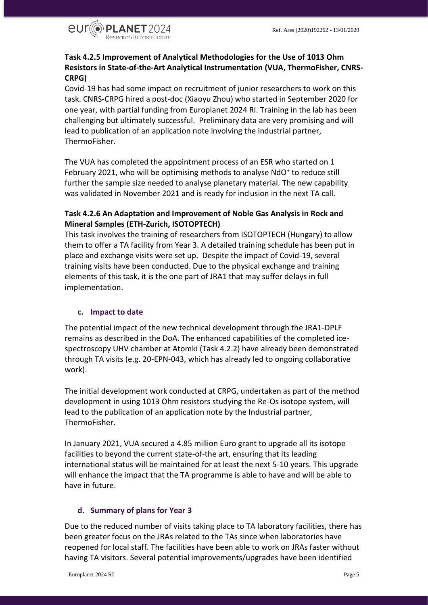

# **Task 4.2.5 Improvement of Analytical Methodologies for the Use of 1013 Ohm Resistors in State-of-the-Art Analytical Instrumentation (VUA, ThermoFisher, CNRS-CRPG)**

Covid-19 has had some impact on recruitment of junior researchers to work on this task. CNRS-CRPG hired a post-doc (Xiaoyu Zhou) who started in September 2020 for one year, with partial funding from Europlanet 2024 RI. Training in the lab has been challenging but ultimately successful. Preliminary data are very promising and will lead to publication of an application note involving the industrial partner, ThermoFisher.

The VUA has completed the appointment process of an ESR who started on 1 February 2021, who will be optimising methods to analyse NdO<sup>+</sup> to reduce still further the sample size needed to analyse planetary material. The new capability was validated in November 2021 and is ready for inclusion in the next TA call.

# **Task 4.2.6 An Adaptation and Improvement of Noble Gas Analysis in Rock and Mineral Samples (ETH-Zurich, ISOTOPTECH)**

This task involves the training of researchers from ISOTOPTECH (Hungary) to allow them to offer a TA facility from Year 3. A detailed training schedule has been put in place and exchange visits were set up. Despite the impact of Covid-19, several training visits have been conducted. Due to the physical exchange and training elements of this task, it is the one part of JRA1 that may suffer delays in full implementation.

# <span id="page-4-0"></span>**c. Impact to date**

The potential impact of the new technical development through the JRA1-DPLF remains as described in the DoA. The enhanced capabilities of the completed icespectroscopy UHV chamber at Atomki (Task 4.2.2) have already been demonstrated through TA visits (e.g. 20-EPN-043, which has already led to ongoing collaborative work).

The initial development work conducted at CRPG, undertaken as part of the method development in using 1013 Ohm resistors studying the Re-Os isotope system, will lead to the publication of an application note by the Industrial partner, ThermoFisher.

In January 2021, VUA secured a 4.85 million Euro grant to upgrade all its isotope facilities to beyond the current state-of-the art, ensuring that its leading international status will be maintained for at least the next 5-10 years. This upgrade will enhance the impact that the TA programme is able to have and will be able to have in future.

# <span id="page-4-1"></span>**d. Summary of plans for Year 3**

Due to the reduced number of visits taking place to TA laboratory facilities, there has been greater focus on the JRAs related to the TAs since when laboratories have reopened for local staff. The facilities have been able to work on JRAs faster without having TA visitors. Several potential improvements/upgrades have been identified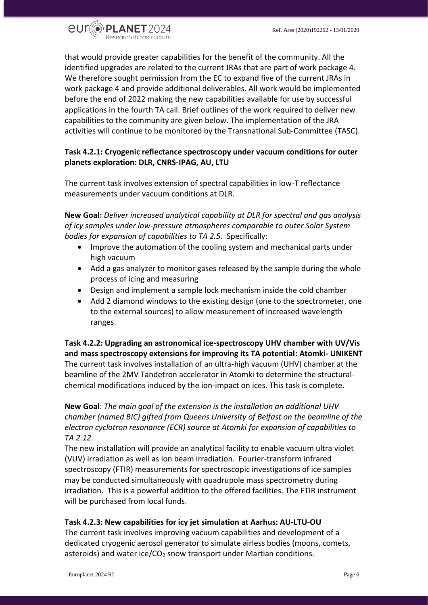

that would provide greater capabilities for the benefit of the community. All the identified upgrades are related to the current JRAs that are part of work package 4. We therefore sought permission from the EC to expand five of the current JRAs in work package 4 and provide additional deliverables. All work would be implemented before the end of 2022 making the new capabilities available for use by successful applications in the fourth TA call. Brief outlines of the work required to deliver new capabilities to the community are given below. The implementation of the JRA activities will continue to be monitored by the Transnational Sub-Committee (TASC).

# **Task 4.2.1: Cryogenic reflectance spectroscopy under vacuum conditions for outer planets exploration: DLR, CNRS-IPAG, AU, LTU**

The current task involves extension of spectral capabilities in low-T reflectance measurements under vacuum conditions at DLR.

**New Goal:** *Deliver increased analytical capability at DLR for spectral and gas analysis of icy samples under low-pressure atmospheres comparable to outer Solar System bodies for expansion of capabilities to TA 2.5.* Specifically:

- Improve the automation of the cooling system and mechanical parts under high vacuum
- Add a gas analyzer to monitor gases released by the sample during the whole process of icing and measuring
- Design and implement a sample lock mechanism inside the cold chamber
- Add 2 diamond windows to the existing design (one to the spectrometer, one to the external sources) to allow measurement of increased wavelength ranges.

**Task 4.2.2: Upgrading an astronomical ice-spectroscopy UHV chamber with UV/Vis and mass spectroscopy extensions for improving its TA potential: Atomki- UNIKENT**  The current task involves installation of an ultra-high vacuum (UHV) chamber at the beamline of the 2MV Tandetron accelerator in Atomki to determine the structuralchemical modifications induced by the ion-impact on ices. This task is complete.

# **New Goal**: *The main goal of the extension is the installation an additional UHV chamber (named BIC) gifted from Queens University of Belfast on the beamline of the electron cyclotron resonance (ECR) source at Atomki for expansion of capabilities to TA 2.12.*

The new installation will provide an analytical facility to enable vacuum ultra violet (VUV) irradiation as well as ion beam irradiation. Fourier-transform infrared spectroscopy (FTIR) measurements for spectroscopic investigations of ice samples may be conducted simultaneously with quadrupole mass spectrometry during irradiation. This is a powerful addition to the offered facilities. The FTIR instrument will be purchased from local funds.

# **Task 4.2.3: New capabilities for icy jet simulation at Aarhus: AU-LTU-OU**

The current task involves improving vacuum capabilities and development of a dedicated cryogenic aerosol generator to simulate airless bodies (moons, comets, asteroids) and water ice/ $CO<sub>2</sub>$  snow transport under Martian conditions.